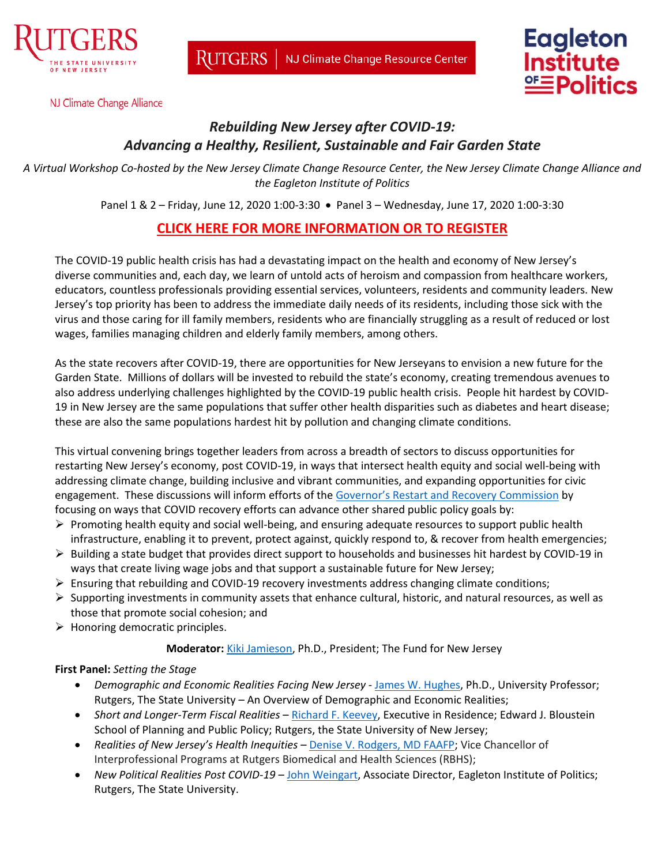

NJ Climate Change Alliance



# *Rebuilding New Jersey after COVID-19: Advancing a Healthy, Resilient, Sustainable and Fair Garden State*

*A Virtual Workshop Co-hosted by the New Jersey Climate Change Resource Center, the New Jersey Climate Change Alliance and the Eagleton Institute of Politics*

Panel 1 & 2 – Friday, June 12, 2020 1:00-3:30 • Panel 3 – Wednesday, June 17, 2020 1:00-3:30

# **[CLICK HERE FOR MORE INFORMATION](https://njclimateresourcecenter.rutgers.edu/events/rebuilding-new-jersey-after-covid-19/) OR TO REGISTER**

The COVID-19 public health crisis has had a devastating impact on the health and economy of New Jersey's diverse communities and, each day, we learn of untold acts of heroism and compassion from healthcare workers, educators, countless professionals providing essential services, volunteers, residents and community leaders. New Jersey's top priority has been to address the immediate daily needs of its residents, including those sick with the virus and those caring for ill family members, residents who are financially struggling as a result of reduced or lost wages, families managing children and elderly family members, among others.

As the state recovers after COVID-19, there are opportunities for New Jerseyans to envision a new future for the Garden State. Millions of dollars will be invested to rebuild the state's economy, creating tremendous avenues to also address underlying challenges highlighted by the COVID-19 public health crisis. People hit hardest by COVID-19 in New Jersey are the same populations that suffer other health disparities such as diabetes and heart disease; these are also the same populations hardest hit by pollution and changing climate conditions.

This virtual convening brings together leaders from across a breadth of sectors to discuss opportunities for restarting New Jersey's economy, post COVID-19, in ways that intersect health equity and social well-being with addressing climate change, building inclusive and vibrant communities, and expanding opportunities for civic engagement. These discussions will inform efforts of the [Governor's Restart and Recovery Commission](https://nj.gov/governor/admin/restartcommission.shtml) by focusing on ways that COVID recovery efforts can advance other shared public policy goals by:

- $\triangleright$  Promoting health equity and social well-being, and ensuring adequate resources to support public health infrastructure, enabling it to prevent, protect against, quickly respond to, & recover from health emergencies;
- $\triangleright$  Building a state budget that provides direct support to households and businesses hit hardest by COVID-19 in ways that create living wage jobs and that support a sustainable future for New Jersey;
- $\triangleright$  Ensuring that rebuilding and COVID-19 recovery investments address changing climate conditions;
- $\triangleright$  Supporting investments in community assets that enhance cultural, historic, and natural resources, as well as those that promote social cohesion; and
- $\triangleright$  Honoring democratic principles.

### **Moderator:** [Kiki Jamieson,](https://www.fundfornj.org/about/leadership-staff/kiki-jamieson) Ph.D., President; The Fund for New Jersey

#### **First Panel:** *Setting the Stage*

- *Demographic and Economic Realities Facing New Jersey* [James W. Hughes,](https://soe.rutgers.edu/james-w-hughes) Ph.D., University Professor; Rutgers, The State University – An Overview of Demographic and Economic Realities;
- *Short and Longer-Term Fiscal Realities* [Richard F. Keevey,](https://bloustein.rutgers.edu/keevey/) Executive in Residence; Edward J. Bloustein School of Planning and Public Policy; Rutgers, the State University of New Jersey;
- *Realities of New Jersey's Health Inequities –* [Denise V. Rodgers, MD FAAFP;](https://njacts.rbhs.rutgers.edu/community/denise-v-rodgers-md-faafp/) Vice Chancellor of Interprofessional Programs at Rutgers Biomedical and Health Sciences (RBHS);
- *New Political Realities Post COVID-19* [John Weingart,](https://eagleton.rutgers.edu/staff/john-weingart/) Associate Director, Eagleton Institute of Politics; Rutgers, The State University.